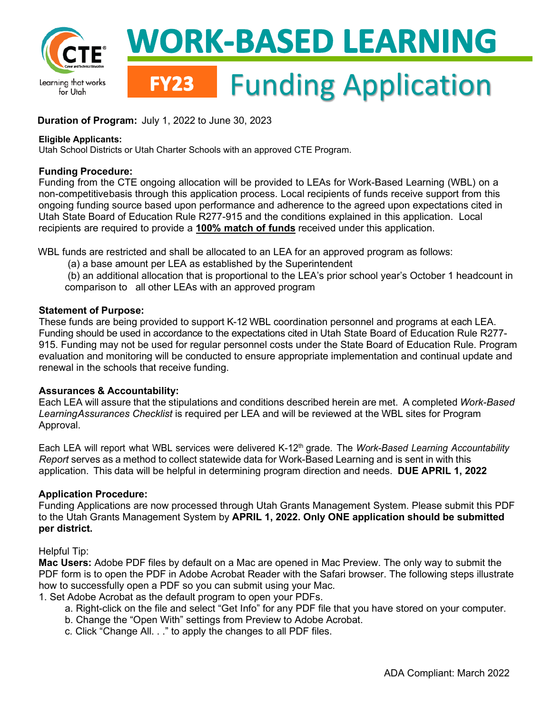

## **Duration of Program:** July 1, 2022 to June 30, 2023

#### **Eligible Applicants:**

Utah School Districts or Utah Charter Schools with an approved CTE Program.

### **Funding Procedure:**

 Funding from the CTE ongoing allocation will be provided to LEAs for Work-Based Learning (WBL) on a non-competitivebasis through this application process. Local recipients of funds receive support from this ongoing funding source based upon performance and adherence to the agreed upon expectations cited in Utah State Board of Education Rule R277-915 and the conditions explained in this application. Local recipients are required to provide a **100% match of funds** received under this application.

WBL funds are restricted and shall be allocated to an LEA for an approved program as follows:

(a) a base amount per LEA as established by the Superintendent

 comparison to all other LEAs with an approved program (b) an additional allocation that is proportional to the LEA's prior school year's October 1 headcount in

## **Statement of Purpose:**

 These funds are being provided to support K-12 WBL coordination personnel and programs at each LEA. Funding should be used in accordance to the expectations cited in Utah State Board of Education Rule R277- renewal in the schools that receive funding. 915. Funding may not be used for regular personnel costs under the State Board of Education Rule. Program evaluation and monitoring will be conducted to ensure appropriate implementation and continual update and

## **Assurances & Accountability:**

 Each LEA will assure that the stipulations and conditions described herein are met. A completed *Work-Based LearningAssurances Checklist* is required per LEA and will be reviewed at the WBL sites for Program Approval.

Each LEA will report what WBL services were delivered K-12<sup>th</sup> grade. The *Work-Based Learning Accountability Report* serves as a method to collect statewide data for Work-Based Learning and is sent in with this application. This data will be helpful in determining program direction and needs. **DUE APRIL 1, 2022** 

## **Application Procedure:**

 Funding Applications are now processed through Utah Grants Management System. Please submit this PDF to the Utah Grants Management System by **APRIL 1, 2022. Only ONE application should be submitted per district.** 

## Helpful Tip:

 **Mac Users:** Adobe PDF files by default on a Mac are opened in Mac Preview. The only way to submit the how to successfully open a PDF so you can submit using your Mac. PDF form is to open the PDF in Adobe Acrobat Reader with the Safari browser. The following steps illustrate

1. Set Adobe Acrobat as the default program to open your PDFs.

- a. Right-click on the file and select "Get Info" for any PDF file that you have stored on your computer.
- b. Change the "Open With" settings from Preview to Adobe Acrobat.
- c. Click "Change All. . ." to apply the changes to all PDF files.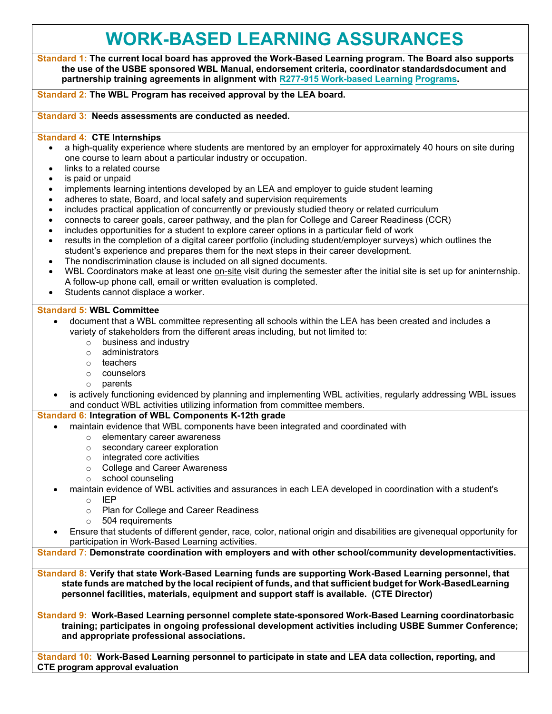## **WORK-BASED LEARNING ASSURANCES**

 **Standard 1: The current local board has approved the Work-Based Learning program. The Board also supports the use of the USBE sponsored WBL Manual, endorsement criteria, coordinator standardsdocument and partnership training agreements in alignment with R277-915 Work-based Learning Programs.** 

#### **Standard 2: The WBL Program has received approval by the LEA board.**

#### **Standard 3: Needs assessments are conducted as needed.**

#### **Standard 4: CTE Internships**

- one course to learn about a particular industry or occupation. • a high-quality experience where students are mentored by an employer for approximately 40 hours on site during
- links to a related course
- is paid or unpaid
- implements learning intentions developed by an LEA and employer to guide student learning
- adheres to state, Board, and local safety and supervision requirements
- includes practical application of concurrently or previously studied theory or related curriculum
- connects to career goals, career pathway, and the plan for College and Career Readiness (CCR)
- includes opportunities for a student to explore career options in a particular field of work
- results in the completion of a digital career portfolio (including student/employer surveys) which outlines the student's experience and prepares them for the next steps in their career development.
- The nondiscrimination clause is included on all signed documents.
- WBL Coordinators make at least one <u>on-site</u> visit during the semester after the initial site is set up for aninternship. A follow-up phone call, email or written evaluation is completed.
- Students cannot displace a worker.

#### **Standard 5: WBL Committee**

- document that a WBL committee representing all schools within the LEA has been created and includes a variety of stakeholders from the different areas including, but not limited to:
	- $\circ$  business and industry<br> $\circ$  administrators
	- administrators
	- o teachers
	- o counselors
	- o parents
- is actively functioning evidenced by planning and implementing WBL activities, regularly addressing WBL issues and conduct WBL activities utilizing information from committee members.

#### **Standard 6: Integration of WBL Components K-12th grade**

- maintain evidence that WBL components have been integrated and coordinated with
	- elementary career awareness<br>○ secondary career exploration
	- secondary career exploration
	- o integrated core activities
	- o College and Career Awareness
	- o school counseling
- maintain evidence of WBL activities and assurances in each LEA developed in coordination with a student's
	- $\circ$  IEP<br> $\circ$  Plar
	- Plan for College and Career Readiness<br>○ 504 requirements
	- 504 requirements
- • Ensure that students of different gender, race, color, national origin and disabilities are givenequal opportunity for participation in Work-Based Learning activities.

**Standard 7: Demonstrate coordination with employers and with other school/community developmentactivities.** 

 **state funds are matched by the local recipient of funds, and that sufficient budget for Work-BasedLearning personnel facilities, materials, equipment and support staff is available. (CTE Director) Standard 8: Verify that state Work-Based Learning funds are supporting Work-Based Learning personnel, that** 

**Standard 9: Work-Based Learning personnel complete state-sponsored Work-Based Learning coordinatorbasic training; participates in ongoing professional development activities including USBE Summer Conference; and appropriate professional associations.** 

**Standard 10: Work-Based Learning personnel to participate in state and LEA data collection, reporting, and CTE program approval evaluation**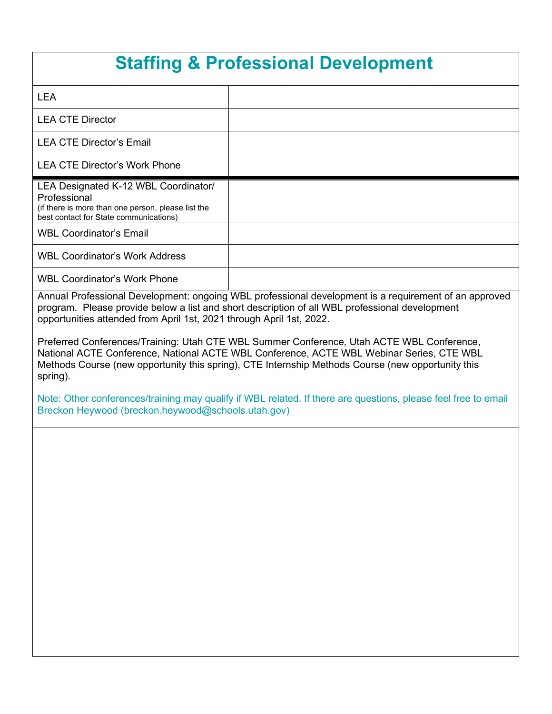## **Staffing & Professional Development**

| <b>LEA</b>                                                                                                                                           |                                                                                                       |
|------------------------------------------------------------------------------------------------------------------------------------------------------|-------------------------------------------------------------------------------------------------------|
| <b>LEA CTE Director</b>                                                                                                                              |                                                                                                       |
| <b>LEA CTE Director's Email</b>                                                                                                                      |                                                                                                       |
| <b>LEA CTE Director's Work Phone</b>                                                                                                                 |                                                                                                       |
| LEA Designated K-12 WBL Coordinator/<br>Professional<br>(if there is more than one person, please list the<br>best contact for State communications) |                                                                                                       |
| <b>WBL Coordinator's Email</b>                                                                                                                       |                                                                                                       |
| <b>WBL Coordinator's Work Address</b>                                                                                                                |                                                                                                       |
| <b>WBL Coordinator's Work Phone</b>                                                                                                                  |                                                                                                       |
|                                                                                                                                                      | Annual Professional Development: ongoing WBL professional development is a requirement of an approved |

Annual Professional Development: ongoing WBL professional development is a requirement of an approved program. Please provide below a list and short description of all WBL professional development opportunities attended from April 1st, 2021 through April 1st, 2022.

 Methods Course (new opportunity this spring), CTE Internship Methods Course (new opportunity this Preferred Conferences/Training: Utah CTE WBL Summer Conference, Utah ACTE WBL Conference, National ACTE Conference, National ACTE WBL Conference, ACTE WBL Webinar Series, CTE WBL spring).

Note: Other conferences/training may qualify if WBL related. If there are questions, please feel free to email Breckon Heywood (breckon.heywood@schools.utah.gov)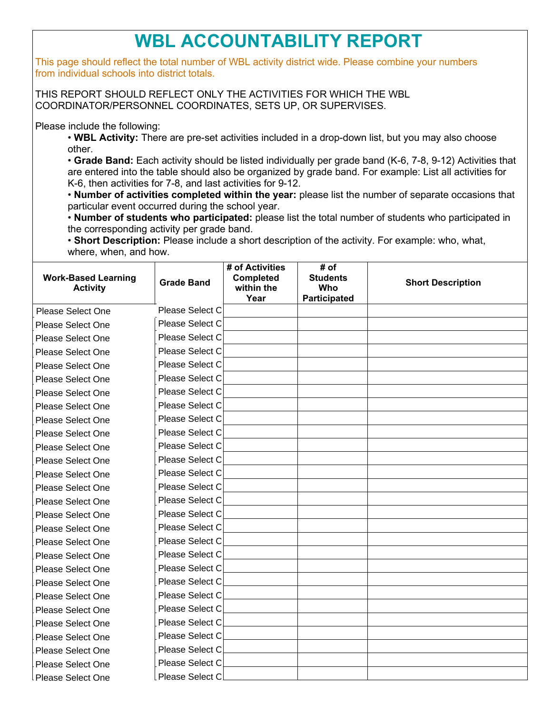# **WBL ACCOUNTABILITY REPORT**

This page should reflect the total number of WBL activity district wide. Please combine your numbers from individual schools into district totals.

THIS REPORT SHOULD REFLECT ONLY THE ACTIVITIES FOR WHICH THE WBL COORDINATOR/PERSONNEL COORDINATES, SETS UP, OR SUPERVISES.

Please include the following:

• **WBL Activity:** There are pre-set activities included in a drop-down list, but you may also choose other.

 are entered into the table should also be organized by grade band. For example: List all activities for • **Grade Band:** Each activity should be listed individually per grade band (K-6, 7-8, 9-12) Activities that K-6, then activities for 7-8, and last activities for 9-12.

 • **Number of activities completed within the year:** please list the number of separate occasions that particular event occurred during the school year.

• **Number of students who participated:** please list the total number of students who participated in the corresponding activity per grade band.

• **Short Description:** Please include a short description of the activity. For example: who, what, where, when, and how.

| <b>Work-Based Learning</b><br><b>Activity</b> | <b>Grade Band</b> | # of Activities<br><b>Completed</b><br>within the<br>Year | # of<br><b>Students</b><br>Who<br>Participated | <b>Short Description</b> |
|-----------------------------------------------|-------------------|-----------------------------------------------------------|------------------------------------------------|--------------------------|
| Please Select One                             | Please Select C   |                                                           |                                                |                          |
| <b>Please Select One</b>                      | Please Select C   |                                                           |                                                |                          |
| Please Select One                             | Please Select C   |                                                           |                                                |                          |
| Please Select One                             | Please Select C   |                                                           |                                                |                          |
| <b>Please Select One</b>                      | Please Select C   |                                                           |                                                |                          |
| Please Select One                             | Please Select C   |                                                           |                                                |                          |
| <b>Please Select One</b>                      | Please Select O   |                                                           |                                                |                          |
| <b>Please Select One</b>                      | Please Select C   |                                                           |                                                |                          |
| Please Select One                             | Please Select C   |                                                           |                                                |                          |
| <b>Please Select One</b>                      | Please Select O   |                                                           |                                                |                          |
| Please Select One                             | Please Select C   |                                                           |                                                |                          |
| <b>Please Select One</b>                      | Please Select C   |                                                           |                                                |                          |
| <b>Please Select One</b>                      | Please Select C   |                                                           |                                                |                          |
| <b>Please Select One</b>                      | Please Select C   |                                                           |                                                |                          |
| Please Select One                             | Please Select C   |                                                           |                                                |                          |
| <b>Please Select One</b>                      | Please Select C   |                                                           |                                                |                          |
| <b>Please Select One</b>                      | Please Select C   |                                                           |                                                |                          |
| Please Select One                             | Please Select C   |                                                           |                                                |                          |
| Please Select One                             | Please Select C   |                                                           |                                                |                          |
| <b>Please Select One</b>                      | Please Select C   |                                                           |                                                |                          |
| Please Select One                             | Please Select C   |                                                           |                                                |                          |
| <b>Please Select One</b>                      | Please Select C   |                                                           |                                                |                          |
| <b>Please Select One</b>                      | Please Select C   |                                                           |                                                |                          |
| Please Select One                             | Please Select C   |                                                           |                                                |                          |
| <b>Please Select One</b>                      | Please Select C   |                                                           |                                                |                          |
| <b>Please Select One</b>                      | Please Select C   |                                                           |                                                |                          |
| <b>Please Select One</b>                      | Please Select C   |                                                           |                                                |                          |
| Please Select One                             | Please Select O   |                                                           |                                                |                          |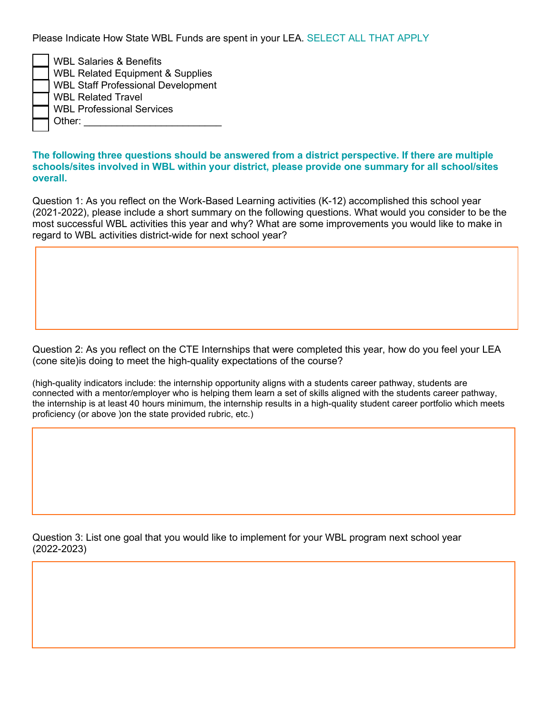Please Indicate How State WBL Funds are spent in your LEA. SELECT ALL THAT APPLY

| <b>WBL Salaries &amp; Benefits</b>          |
|---------------------------------------------|
| <b>WBL Related Equipment &amp; Supplies</b> |
| <b>WBL Staff Professional Development</b>   |
| <b>WBL Related Travel</b>                   |
| <b>WBL Professional Services</b>            |
| Other:                                      |

### **The following three questions should be answered from a district perspective. If there are multiple schools/sites involved in WBL within your district, please provide one summary for all school/sites overall.**

Question 1: As you reflect on the Work-Based Learning activities (K-12) accomplished this school year (2021-2022), please include a short summary on the following questions. What would you consider to be the most successful WBL activities this year and why? What are some improvements you would like to make in regard to WBL activities district-wide for next school year?

 Question 2: As you reflect on the CTE Internships that were completed this year, how do you feel your LEA (cone site)is doing to meet the high-quality expectations of the course?

 connected with a mentor/employer who is helping them learn a set of skills aligned with the students career pathway, the internship is at least 40 hours minimum, the internship results in a high-quality student career portfolio which meets proficiency (or above )on the state provided rubric, etc.) (high-quality indicators include: the internship opportunity aligns with a students career pathway, students are

 Question 3: List one goal that you would like to implement for your WBL program next school year (2022-2023)